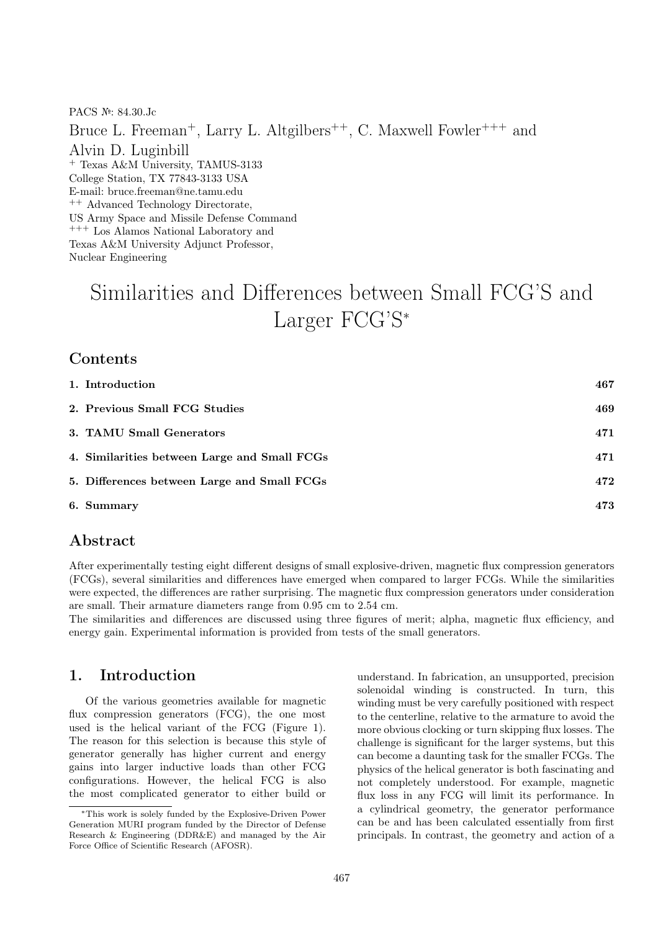PACS №: 84.30.Jc Bruce L. Freeman<sup>+</sup>, Larry L. Altgilbers<sup>++</sup>, C. Maxwell Fowler<sup>+++</sup> and Alvin D. Luginbill <sup>+</sup> Texas A&M University, TAMUS-3133 College Station, TX 77843-3133 USA E-mail: bruce.freeman@ne.tamu.edu <sup>++</sup> Advanced Technology Directorate, US Army Space and Missile Defense Command +++ Los Alamos National Laboratory and Texas A&M University Adjunct Professor, Nuclear Engineering

# Similarities and Differences between Small FCG'S and Larger FCG'S<sup>∗</sup>

#### **Contents**

| 1. Introduction                              | 467 |
|----------------------------------------------|-----|
| 2. Previous Small FCG Studies                | 469 |
| 3. TAMU Small Generators                     | 471 |
| 4. Similarities between Large and Small FCGs | 471 |
| 5. Differences between Large and Small FCGs  | 472 |
| 6. Summary                                   | 473 |

#### Abstract

After experimentally testing eight different designs of small explosive-driven, magnetic flux compression generators (FCGs), several similarities and differences have emerged when compared to larger FCGs. While the similarities were expected, the differences are rather surprising. The magnetic flux compression generators under consideration are small. Their armature diameters range from 0.95 cm to 2.54 cm.

The similarities and differences are discussed using three figures of merit; alpha, magnetic flux efficiency, and energy gain. Experimental information is provided from tests of the small generators.

## 1. Introduction

Of the various geometries available for magnetic flux compression generators (FCG), the one most used is the helical variant of the FCG (Figure 1). The reason for this selection is because this style of generator generally has higher current and energy gains into larger inductive loads than other FCG configurations. However, the helical FCG is also the most complicated generator to either build or understand. In fabrication, an unsupported, precision solenoidal winding is constructed. In turn, this winding must be very carefully positioned with respect to the centerline, relative to the armature to avoid the more obvious clocking or turn skipping flux losses. The challenge is significant for the larger systems, but this can become a daunting task for the smaller FCGs. The physics of the helical generator is both fascinating and not completely understood. For example, magnetic flux loss in any FCG will limit its performance. In a cylindrical geometry, the generator performance can be and has been calculated essentially from first principals. In contrast, the geometry and action of a

<sup>∗</sup>This work is solely funded by the Explosive-Driven Power Generation MURI program funded by the Director of Defense Research & Engineering (DDR&E) and managed by the Air Force Office of Scientific Research (AFOSR).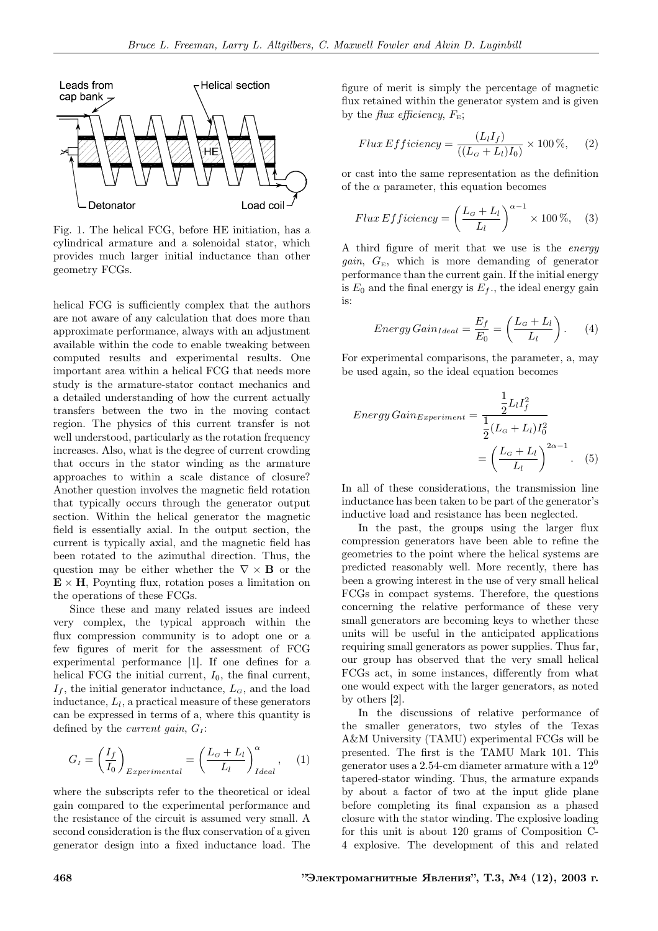

Fig. 1. The helical FCG, before HE initiation, has a cylindrical armature and a solenoidal stator, which provides much larger initial inductance than other geometry FCGs.

helical FCG is sufficiently complex that the authors are not aware of any calculation that does more than approximate performance, always with an adjustment available within the code to enable tweaking between computed results and experimental results. One important area within a helical FCG that needs more study is the armature-stator contact mechanics and a detailed understanding of how the current actually transfers between the two in the moving contact region. The physics of this current transfer is not well understood, particularly as the rotation frequency increases. Also, what is the degree of current crowding that occurs in the stator winding as the armature approaches to within a scale distance of closure? Another question involves the magnetic field rotation that typically occurs through the generator output section. Within the helical generator the magnetic field is essentially axial. In the output section, the current is typically axial, and the magnetic field has been rotated to the azimuthal direction. Thus, the question may be either whether the  $\nabla \times \mathbf{B}$  or the  $\mathbf{E} \times \mathbf{H}$ , Poynting flux, rotation poses a limitation on the operations of these FCGs.

Since these and many related issues are indeed very complex, the typical approach within the flux compression community is to adopt one or a few figures of merit for the assessment of FCG experimental performance [1]. If one defines for a helical FCG the initial current,  $I_0$ , the final current,  $I_f$ , the initial generator inductance,  $L_G$ , and the load inductance,  $L_l$ , a practical measure of these generators can be expressed in terms of a, where this quantity is defined by the *current gain*,  $G<sub>I</sub>$ :

$$
G_{I} = \left(\frac{I_{f}}{I_{0}}\right)_{Experimental} = \left(\frac{L_{G} + L_{l}}{L_{l}}\right)_{Ideal}^{\alpha}, \quad (1)
$$

where the subscripts refer to the theoretical or ideal gain compared to the experimental performance and the resistance of the circuit is assumed very small. A second consideration is the flux conservation of a given generator design into a fixed inductance load. The figure of merit is simply the percentage of magnetic flux retained within the generator system and is given by the *flux efficiency*,  $F_{\rm E}$ ;

$$
Flux Efficiency = \frac{(L_l I_f)}{((L_G + L_l)I_0)} \times 100\%,\qquad(2)
$$

or cast into the same representation as the definition of the  $\alpha$  parameter, this equation becomes

$$
Flux Efficiency = \left(\frac{L_G + L_l}{L_l}\right)^{\alpha - 1} \times 100\%,\quad(3)
$$

A third figure of merit that we use is the energy *gain*,  $G<sub>E</sub>$ , which is more demanding of generator performance than the current gain. If the initial energy is  $E_0$  and the final energy is  $E_f$ ., the ideal energy gain is:

$$
Energy Gain_{Ideal} = \frac{E_f}{E_0} = \left(\frac{L_G + L_l}{L_l}\right). \tag{4}
$$

For experimental comparisons, the parameter, a, may be used again, so the ideal equation becomes

$$
Energy Gain_{Experiment} = \frac{\frac{1}{2}L_l I_f^2}{\frac{1}{2}(L_G + L_l)I_0^2}
$$

$$
= \left(\frac{L_G + L_l}{L_l}\right)^{2\alpha - 1}.
$$
 (5)

In all of these considerations, the transmission line inductance has been taken to be part of the generator's inductive load and resistance has been neglected.

In the past, the groups using the larger flux compression generators have been able to refine the geometries to the point where the helical systems are predicted reasonably well. More recently, there has been a growing interest in the use of very small helical FCGs in compact systems. Therefore, the questions concerning the relative performance of these very small generators are becoming keys to whether these units will be useful in the anticipated applications requiring small generators as power supplies. Thus far, our group has observed that the very small helical FCGs act, in some instances, differently from what one would expect with the larger generators, as noted by others [2].

In the discussions of relative performance of the smaller generators, two styles of the Texas A&M University (TAMU) experimental FCGs will be presented. The first is the TAMU Mark 101. This generator uses a 2.54-cm diameter armature with a  $12<sup>0</sup>$ tapered-stator winding. Thus, the armature expands by about a factor of two at the input glide plane before completing its final expansion as a phased closure with the stator winding. The explosive loading for this unit is about 120 grams of Composition C-4 explosive. The development of this and related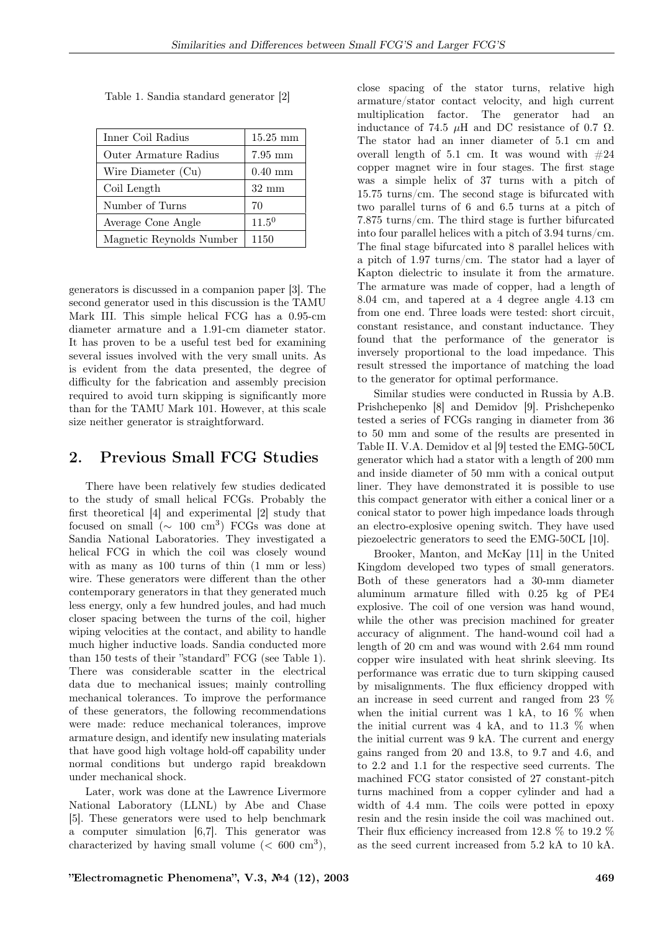| Inner Coil Radius        | $15.25\text{ }\mathrm{mm}$ |
|--------------------------|----------------------------|
| Outer Armature Radius    | $7.95$ mm                  |
| Wire Diameter (Cu)       | $0.40$ mm                  |
| Coil Length              | $32 \text{ mm}$            |
| Number of Turns          | 70                         |
| Average Cone Angle       | $11.5^{0}$                 |
| Magnetic Reynolds Number | 1150                       |

Table 1. Sandia standard generator [2]

generators is discussed in a companion paper [3]. The second generator used in this discussion is the TAMU Mark III. This simple helical FCG has a 0.95-cm diameter armature and a 1.91-cm diameter stator. It has proven to be a useful test bed for examining several issues involved with the very small units. As is evident from the data presented, the degree of difficulty for the fabrication and assembly precision required to avoid turn skipping is significantly more than for the TAMU Mark 101. However, at this scale size neither generator is straightforward.

## 2. Previous Small FCG Studies

There have been relatively few studies dedicated to the study of small helical FCGs. Probably the first theoretical [4] and experimental [2] study that focused on small  $(\sim 100 \text{ cm}^3)$  FCGs was done at Sandia National Laboratories. They investigated a helical FCG in which the coil was closely wound with as many as 100 turns of thin (1 mm or less) wire. These generators were different than the other contemporary generators in that they generated much less energy, only a few hundred joules, and had much closer spacing between the turns of the coil, higher wiping velocities at the contact, and ability to handle much higher inductive loads. Sandia conducted more than 150 tests of their "standard" FCG (see Table 1). There was considerable scatter in the electrical data due to mechanical issues; mainly controlling mechanical tolerances. To improve the performance of these generators, the following recommendations were made: reduce mechanical tolerances, improve armature design, and identify new insulating materials that have good high voltage hold-off capability under normal conditions but undergo rapid breakdown under mechanical shock.

Later, work was done at the Lawrence Livermore National Laboratory (LLNL) by Abe and Chase [5]. These generators were used to help benchmark a computer simulation [6,7]. This generator was characterized by having small volume  $(< 600 \text{ cm}^3)$ ,

close spacing of the stator turns, relative high armature/stator contact velocity, and high current multiplication factor. The generator had an inductance of 74.5  $\mu$ H and DC resistance of 0.7  $\Omega$ . The stator had an inner diameter of 5.1 cm and overall length of 5.1 cm. It was wound with  $#24$ copper magnet wire in four stages. The first stage was a simple helix of 37 turns with a pitch of 15.75 turns/cm. The second stage is bifurcated with two parallel turns of 6 and 6.5 turns at a pitch of 7.875 turns/cm. The third stage is further bifurcated into four parallel helices with a pitch of 3.94 turns/cm. The final stage bifurcated into 8 parallel helices with a pitch of 1.97 turns/cm. The stator had a layer of Kapton dielectric to insulate it from the armature. The armature was made of copper, had a length of 8.04 cm, and tapered at a 4 degree angle 4.13 cm from one end. Three loads were tested: short circuit, constant resistance, and constant inductance. They found that the performance of the generator is inversely proportional to the load impedance. This result stressed the importance of matching the load to the generator for optimal performance.

Similar studies were conducted in Russia by A.B. Prishchepenko [8] and Demidov [9]. Prishchepenko tested a series of FCGs ranging in diameter from 36 to 50 mm and some of the results are presented in Table II. V.A. Demidov et al [9] tested the EMG-50CL generator which had a stator with a length of 200 mm and inside diameter of 50 mm with a conical output liner. They have demonstrated it is possible to use this compact generator with either a conical liner or a conical stator to power high impedance loads through an electro-explosive opening switch. They have used piezoelectric generators to seed the EMG-50CL [10].

Brooker, Manton, and McKay [11] in the United Kingdom developed two types of small generators. Both of these generators had a 30-mm diameter aluminum armature filled with 0.25 kg of PE4 explosive. The coil of one version was hand wound, while the other was precision machined for greater accuracy of alignment. The hand-wound coil had a length of 20 cm and was wound with 2.64 mm round copper wire insulated with heat shrink sleeving. Its performance was erratic due to turn skipping caused by misalignments. The flux efficiency dropped with an increase in seed current and ranged from 23 % when the initial current was  $1 \text{ kA}$ , to  $16 \%$  when the initial current was  $4 \text{ kA}$ , and to  $11.3 \%$  when the initial current was 9 kA. The current and energy gains ranged from 20 and 13.8, to 9.7 and 4.6, and to 2.2 and 1.1 for the respective seed currents. The machined FCG stator consisted of 27 constant-pitch turns machined from a copper cylinder and had a width of 4.4 mm. The coils were potted in epoxy resin and the resin inside the coil was machined out. Their flux efficiency increased from 12.8 % to 19.2 % as the seed current increased from 5.2 kA to 10 kA.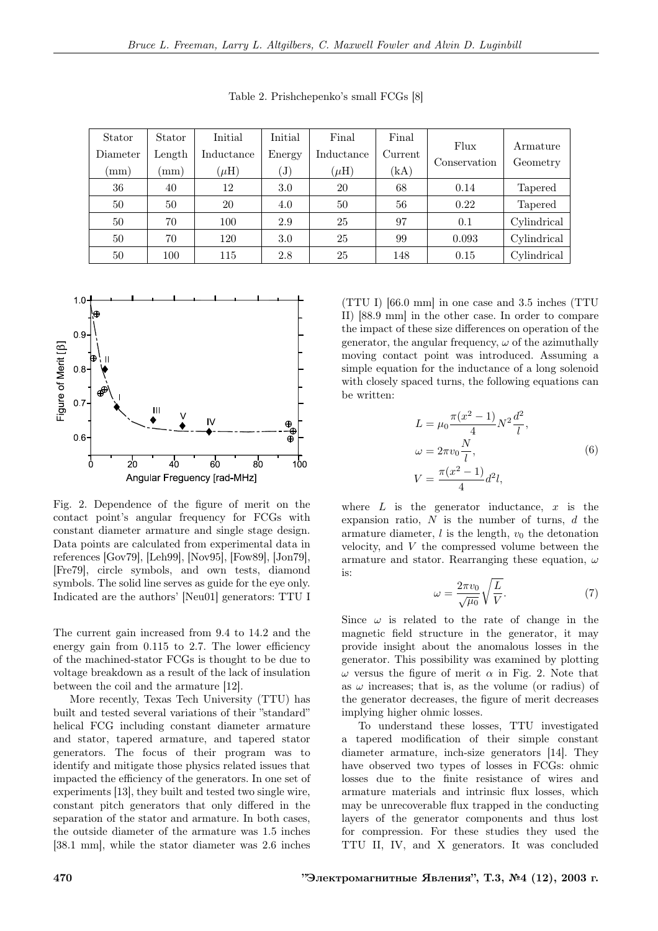| Stator<br>Diameter | Stator<br>Length | Initial<br>Inductance | Initial<br>Energy          | Final<br>Inductance | Final<br>Current | Flux<br>Conservation | Armature<br>Geometry |
|--------------------|------------------|-----------------------|----------------------------|---------------------|------------------|----------------------|----------------------|
| $\pmod{m}$         | mm)              | $(\mu H)$             | $\left( \mathrm{J}\right)$ | $(\mu H)$           | (kA)             |                      |                      |
| 36                 | 40               | 12                    | 3.0                        | 20                  | 68               | 0.14                 | <b>Tapered</b>       |
| 50                 | 50               | 20                    | 4.0                        | 50                  | 56               | 0.22                 | Tapered              |
| 50                 | 70               | 100                   | 2.9                        | 25                  | 97               | 0.1                  | Cylindrical          |
| 50                 | 70               | 120                   | 3.0                        | 25                  | 99               | 0.093                | Cylindrical          |
| 50                 | 100              | 115                   | 2.8                        | 25                  | 148              | 0.15                 | Cylindrical          |

Table 2. Prishchepenko's small FCGs [8]



Fig. 2. Dependence of the figure of merit on the contact point's angular frequency for FCGs with constant diameter armature and single stage design. Data points are calculated from experimental data in references [Gov79], [Leh99], [Nov95], [Fow89], [Jon79], [Fre79], circle symbols, and own tests, diamond symbols. The solid line serves as guide for the eye only. Indicated are the authors' [Neu01] generators: TTU I

The current gain increased from 9.4 to 14.2 and the energy gain from 0.115 to 2.7. The lower efficiency of the machined-stator FCGs is thought to be due to voltage breakdown as a result of the lack of insulation between the coil and the armature [12].

More recently, Texas Tech University (TTU) has built and tested several variations of their "standard" helical FCG including constant diameter armature and stator, tapered armature, and tapered stator generators. The focus of their program was to identify and mitigate those physics related issues that impacted the efficiency of the generators. In one set of experiments [13], they built and tested two single wire, constant pitch generators that only differed in the separation of the stator and armature. In both cases, the outside diameter of the armature was 1.5 inches [38.1 mm], while the stator diameter was 2.6 inches

(TTU I) [66.0 mm] in one case and 3.5 inches (TTU II) [88.9 mm] in the other case. In order to compare the impact of these size differences on operation of the generator, the angular frequency,  $\omega$  of the azimuthally moving contact point was introduced. Assuming a simple equation for the inductance of a long solenoid with closely spaced turns, the following equations can be written:

$$
L = \mu_0 \frac{\pi (x^2 - 1)}{4} N^2 \frac{d^2}{l},
$$
  
\n
$$
\omega = 2\pi v_0 \frac{N}{l},
$$
  
\n
$$
V = \frac{\pi (x^2 - 1)}{4} d^2 l,
$$
\n(6)

where  $L$  is the generator inductance,  $x$  is the expansion ratio,  $N$  is the number of turns,  $d$  the armature diameter,  $l$  is the length,  $v_0$  the detonation velocity, and  $V$  the compressed volume between the armature and stator. Rearranging these equation,  $\omega$ is:

$$
\omega = \frac{2\pi v_0}{\sqrt{\mu_0}} \sqrt{\frac{L}{V}}.\tag{7}
$$

Since  $\omega$  is related to the rate of change in the magnetic field structure in the generator, it may provide insight about the anomalous losses in the generator. This possibility was examined by plotting  $\omega$  versus the figure of merit  $\alpha$  in Fig. 2. Note that as  $\omega$  increases; that is, as the volume (or radius) of the generator decreases, the figure of merit decreases implying higher ohmic losses.

To understand these losses, TTU investigated a tapered modification of their simple constant diameter armature, inch-size generators [14]. They have observed two types of losses in FCGs: ohmic losses due to the finite resistance of wires and armature materials and intrinsic flux losses, which may be unrecoverable flux trapped in the conducting layers of the generator components and thus lost for compression. For these studies they used the TTU II, IV, and X generators. It was concluded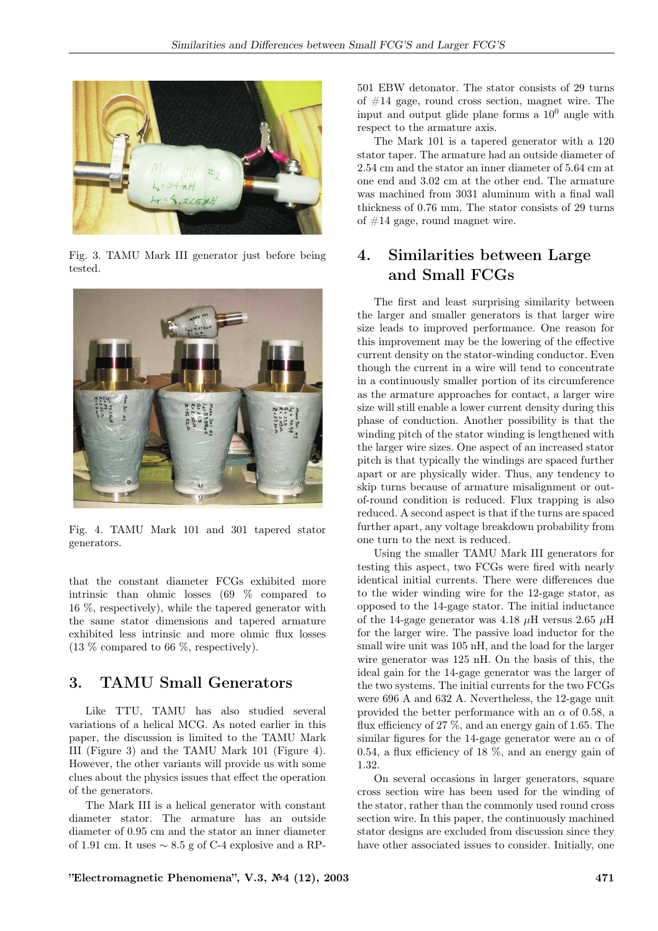

Fig. 3. TAMU Mark III generator just before being tested.



Fig. 4. TAMU Mark 101 and 301 tapered stator generators.

that the constant diameter FCGs exhibited more intrinsic than ohmic losses (69 % compared to 16 %, respectively), while the tapered generator with the same stator dimensions and tapered armature exhibited less intrinsic and more ohmic flux losses (13 % compared to 66 %, respectively).

## 3. TAMU Small Generators

Like TTU, TAMU has also studied several variations of a helical MCG. As noted earlier in this paper, the discussion is limited to the TAMU Mark III (Figure 3) and the TAMU Mark 101 (Figure 4). However, the other variants will provide us with some clues about the physics issues that effect the operation of the generators.

The Mark III is a helical generator with constant diameter stator. The armature has an outside diameter of 0.95 cm and the stator an inner diameter of 1.91 cm. It uses  $\sim 8.5$  g of C-4 explosive and a RP-

501 EBW detonator. The stator consists of 29 turns of #14 gage, round cross section, magnet wire. The input and output glide plane forms a  $10<sup>0</sup>$  angle with respect to the armature axis.

The Mark 101 is a tapered generator with a 120 stator taper. The armature had an outside diameter of 2.54 cm and the stator an inner diameter of 5.64 cm at one end and 3.02 cm at the other end. The armature was machined from 3031 aluminum with a final wall thickness of 0.76 mm. The stator consists of 29 turns of  $#14$  gage, round magnet wire.

# 4. Similarities between Large and Small FCGs

The first and least surprising similarity between the larger and smaller generators is that larger wire size leads to improved performance. One reason for this improvement may be the lowering of the effective current density on the stator-winding conductor. Even though the current in a wire will tend to concentrate in a continuously smaller portion of its circumference as the armature approaches for contact, a larger wire size will still enable a lower current density during this phase of conduction. Another possibility is that the winding pitch of the stator winding is lengthened with the larger wire sizes. One aspect of an increased stator pitch is that typically the windings are spaced further apart or are physically wider. Thus, any tendency to skip turns because of armature misalignment or outof-round condition is reduced. Flux trapping is also reduced. A second aspect is that if the turns are spaced further apart, any voltage breakdown probability from one turn to the next is reduced.

Using the smaller TAMU Mark III generators for testing this aspect, two FCGs were fired with nearly identical initial currents. There were differences due to the wider winding wire for the 12-gage stator, as opposed to the 14-gage stator. The initial inductance of the 14-gage generator was 4.18  $\mu$ H versus 2.65  $\mu$ H for the larger wire. The passive load inductor for the small wire unit was 105 nH, and the load for the larger wire generator was 125 nH. On the basis of this, the ideal gain for the 14-gage generator was the larger of the two systems. The initial currents for the two FCGs were 696 A and 632 A. Nevertheless, the 12-gage unit provided the better performance with an  $\alpha$  of 0.58, a flux efficiency of 27 %, and an energy gain of 1.65. The similar figures for the 14-gage generator were an  $\alpha$  of 0.54, a flux efficiency of 18 %, and an energy gain of 1.32.

On several occasions in larger generators, square cross section wire has been used for the winding of the stator, rather than the commonly used round cross section wire. In this paper, the continuously machined stator designs are excluded from discussion since they have other associated issues to consider. Initially, one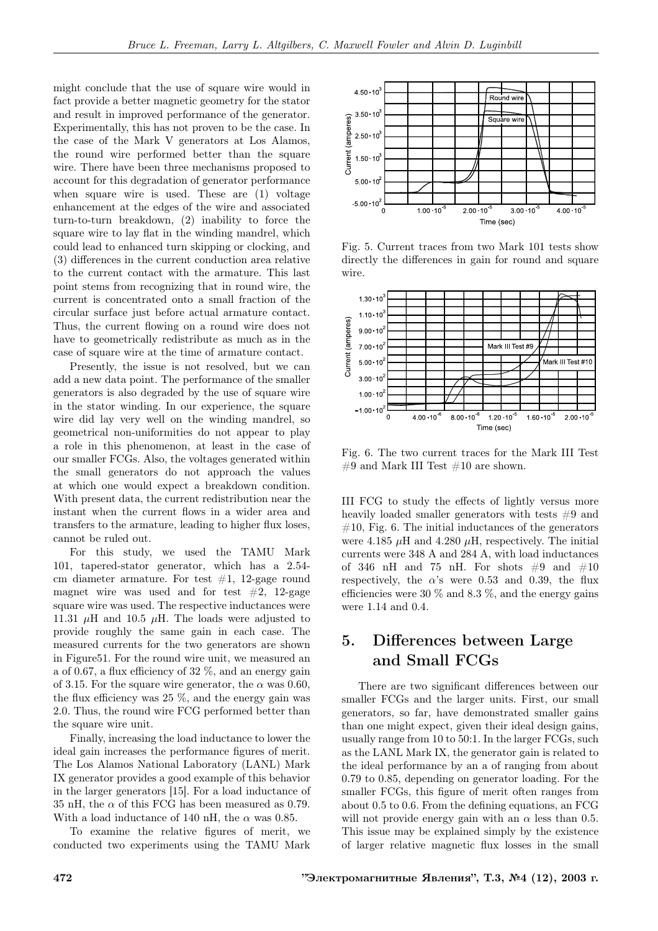might conclude that the use of square wire would in fact provide a better magnetic geometry for the stator and result in improved performance of the generator. Experimentally, this has not proven to be the case. In the case of the Mark V generators at Los Alamos, the round wire performed better than the square wire. There have been three mechanisms proposed to account for this degradation of generator performance when square wire is used. These are (1) voltage enhancement at the edges of the wire and associated turn-to-turn breakdown, (2) inability to force the square wire to lay flat in the winding mandrel, which could lead to enhanced turn skipping or clocking, and (3) differences in the current conduction area relative to the current contact with the armature. This last point stems from recognizing that in round wire, the current is concentrated onto a small fraction of the circular surface just before actual armature contact. Thus, the current flowing on a round wire does not have to geometrically redistribute as much as in the case of square wire at the time of armature contact.

Presently, the issue is not resolved, but we can add a new data point. The performance of the smaller generators is also degraded by the use of square wire in the stator winding. In our experience, the square wire did lay very well on the winding mandrel, so geometrical non-uniformities do not appear to play a role in this phenomenon, at least in the case of our smaller FCGs. Also, the voltages generated within the small generators do not approach the values at which one would expect a breakdown condition. With present data, the current redistribution near the instant when the current flows in a wider area and transfers to the armature, leading to higher flux loses, cannot be ruled out.

For this study, we used the TAMU Mark 101, tapered-stator generator, which has a 2.54 cm diameter armature. For test  $#1$ , 12-gage round magnet wire was used and for test  $#2$ , 12-gage square wire was used. The respective inductances were 11.31  $\mu$ H and 10.5  $\mu$ H. The loads were adjusted to provide roughly the same gain in each case. The measured currents for the two generators are shown in Figure51. For the round wire unit, we measured an a of 0.67, a flux efficiency of 32 %, and an energy gain of 3.15. For the square wire generator, the  $\alpha$  was 0.60, the flux efficiency was 25 %, and the energy gain was 2.0. Thus, the round wire FCG performed better than the square wire unit.

Finally, increasing the load inductance to lower the ideal gain increases the performance figures of merit. The Los Alamos National Laboratory (LANL) Mark IX generator provides a good example of this behavior in the larger generators [15]. For a load inductance of 35 nH, the  $\alpha$  of this FCG has been measured as 0.79. With a load inductance of 140 nH, the  $\alpha$  was 0.85.

To examine the relative figures of merit, we conducted two experiments using the TAMU Mark



Fig. 5. Current traces from two Mark 101 tests show directly the differences in gain for round and square wire.



Fig. 6. The two current traces for the Mark III Test  $\#9$  and Mark III Test  $\#10$  are shown.

III FCG to study the effects of lightly versus more heavily loaded smaller generators with tests  $#9$  and  $#10$ , Fig. 6. The initial inductances of the generators were 4.185  $\mu$ H and 4.280  $\mu$ H, respectively. The initial currents were 348 A and 284 A, with load inductances of 346 nH and 75 nH. For shots  $\#9$  and  $\#10$ respectively, the  $\alpha$ 's were 0.53 and 0.39, the flux efficiencies were 30  $\%$  and 8.3  $\%$ , and the energy gains were 1.14 and 0.4.

## 5. Differences between Large and Small FCGs

There are two significant differences between our smaller FCGs and the larger units. First, our small generators, so far, have demonstrated smaller gains than one might expect, given their ideal design gains, usually range from 10 to 50:1. In the larger FCGs, such as the LANL Mark IX, the generator gain is related to the ideal performance by an a of ranging from about 0.79 to 0.85, depending on generator loading. For the smaller FCGs, this figure of merit often ranges from about 0.5 to 0.6. From the defining equations, an FCG will not provide energy gain with an  $\alpha$  less than 0.5. This issue may be explained simply by the existence of larger relative magnetic flux losses in the small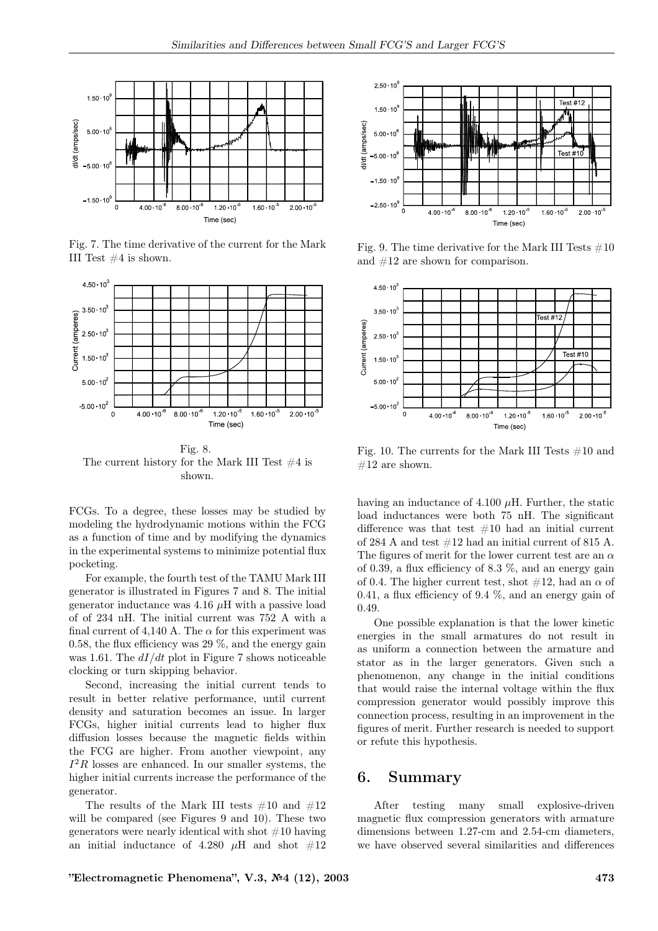

Fig. 7. The time derivative of the current for the Mark III Test #4 is shown.



Fig. 8. The current history for the Mark III Test  $#4$  is shown.

FCGs. To a degree, these losses may be studied by modeling the hydrodynamic motions within the FCG as a function of time and by modifying the dynamics in the experimental systems to minimize potential flux pocketing.

For example, the fourth test of the TAMU Mark III generator is illustrated in Figures 7 and 8. The initial generator inductance was  $4.16 \mu$ H with a passive load of of 234 nH. The initial current was 752 A with a final current of 4,140 A. The  $\alpha$  for this experiment was 0.58, the flux efficiency was 29 %, and the energy gain was 1.61. The  $dI/dt$  plot in Figure 7 shows noticeable clocking or turn skipping behavior.

Second, increasing the initial current tends to result in better relative performance, until current density and saturation becomes an issue. In larger FCGs, higher initial currents lead to higher flux diffusion losses because the magnetic fields within the FCG are higher. From another viewpoint, any  $I^2R$  losses are enhanced. In our smaller systems, the higher initial currents increase the performance of the generator.

The results of the Mark III tests  $\#10$  and  $\#12$ will be compared (see Figures 9 and 10). These two generators were nearly identical with shot  $#10$  having an initial inductance of 4.280  $\mu$ H and shot  $\#12$ 



Fig. 9. The time derivative for the Mark III Tests  $\#10$ and #12 are shown for comparison.



Fig. 10. The currents for the Mark III Tests  $#10$  and  $#12$  are shown.

having an inductance of 4.100  $\mu$ H. Further, the static load inductances were both 75 nH. The significant difference was that test  $#10$  had an initial current of 284 A and test #12 had an initial current of 815 A. The figures of merit for the lower current test are an  $\alpha$ of 0.39, a flux efficiency of 8.3 %, and an energy gain of 0.4. The higher current test, shot  $\#12$ , had an  $\alpha$  of 0.41, a flux efficiency of 9.4 %, and an energy gain of 0.49.

One possible explanation is that the lower kinetic energies in the small armatures do not result in as uniform a connection between the armature and stator as in the larger generators. Given such a phenomenon, any change in the initial conditions that would raise the internal voltage within the flux compression generator would possibly improve this connection process, resulting in an improvement in the figures of merit. Further research is needed to support or refute this hypothesis.

#### 6. Summary

After testing many small explosive-driven magnetic flux compression generators with armature dimensions between 1.27-cm and 2.54-cm diameters, we have observed several similarities and differences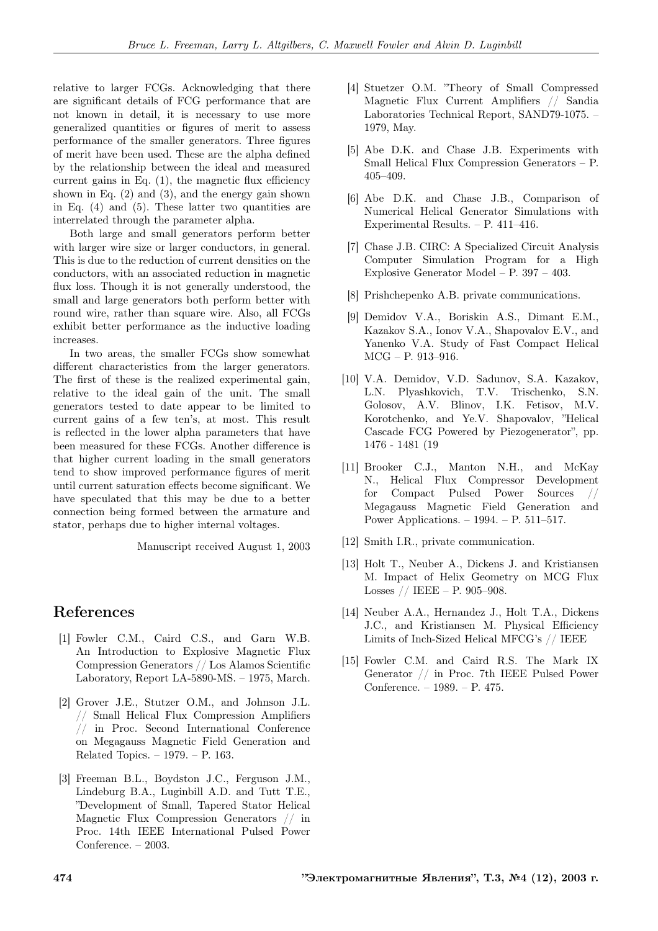relative to larger FCGs. Acknowledging that there are significant details of FCG performance that are not known in detail, it is necessary to use more generalized quantities or figures of merit to assess performance of the smaller generators. Three figures of merit have been used. These are the alpha defined by the relationship between the ideal and measured current gains in Eq.  $(1)$ , the magnetic flux efficiency shown in Eq.  $(2)$  and  $(3)$ , and the energy gain shown in Eq.  $(4)$  and  $(5)$ . These latter two quantities are interrelated through the parameter alpha.

Both large and small generators perform better with larger wire size or larger conductors, in general. This is due to the reduction of current densities on the conductors, with an associated reduction in magnetic flux loss. Though it is not generally understood, the small and large generators both perform better with round wire, rather than square wire. Also, all FCGs exhibit better performance as the inductive loading increases.

In two areas, the smaller FCGs show somewhat different characteristics from the larger generators. The first of these is the realized experimental gain, relative to the ideal gain of the unit. The small generators tested to date appear to be limited to current gains of a few ten's, at most. This result is reflected in the lower alpha parameters that have been measured for these FCGs. Another difference is that higher current loading in the small generators tend to show improved performance figures of merit until current saturation effects become significant. We have speculated that this may be due to a better connection being formed between the armature and stator, perhaps due to higher internal voltages.

Manuscript received August 1, 2003

#### References

- [1] Fowler C.M., Caird C.S., and Garn W.B. An Introduction to Explosive Magnetic Flux Compression Generators // Los Alamos Scientific Laboratory, Report LA-5890-MS. – 1975, March.
- [2] Grover J.E., Stutzer O.M., and Johnson J.L. // Small Helical Flux Compression Amplifiers // in Proc. Second International Conference on Megagauss Magnetic Field Generation and Related Topics. – 1979. – P. 163.
- [3] Freeman B.L., Boydston J.C., Ferguson J.M., Lindeburg B.A., Luginbill A.D. and Tutt T.E., "Development of Small, Tapered Stator Helical Magnetic Flux Compression Generators // in Proc. 14th IEEE International Pulsed Power Conference. – 2003.
- [4] Stuetzer O.M. "Theory of Small Compressed Magnetic Flux Current Amplifiers // Sandia Laboratories Technical Report, SAND79-1075. – 1979, May.
- [5] Abe D.K. and Chase J.B. Experiments with Small Helical Flux Compression Generators – P. 405–409.
- [6] Abe D.K. and Chase J.B., Comparison of Numerical Helical Generator Simulations with Experimental Results. – P. 411–416.
- [7] Chase J.B. CIRC: A Specialized Circuit Analysis Computer Simulation Program for a High Explosive Generator Model – P. 397 – 403.
- [8] Prishchepenko A.B. private communications.
- [9] Demidov V.A., Boriskin A.S., Dimant E.M., Kazakov S.A., Ionov V.A., Shapovalov E.V., and Yanenko V.A. Study of Fast Compact Helical MCG – P. 913–916.
- [10] V.A. Demidov, V.D. Sadunov, S.A. Kazakov, L.N. Plyashkovich, T.V. Trischenko, S.N. Golosov, A.V. Blinov, I.K. Fetisov, M.V. Korotchenko, and Ye.V. Shapovalov, "Helical Cascade FCG Powered by Piezogenerator", pp. 1476 - 1481 (19
- [11] Brooker C.J., Manton N.H., and McKay N., Helical Flux Compressor Development for Compact Pulsed Power Sources Megagauss Magnetic Field Generation and Power Applications. – 1994. – P. 511–517.
- [12] Smith I.R., private communication.
- [13] Holt T., Neuber A., Dickens J. and Kristiansen M. Impact of Helix Geometry on MCG Flux Losses // IEEE – P. 905–908.
- [14] Neuber A.A., Hernandez J., Holt T.A., Dickens J.C., and Kristiansen M. Physical Efficiency Limits of Inch-Sized Helical MFCG's // IEEE
- [15] Fowler C.M. and Caird R.S. The Mark IX Generator // in Proc. 7th IEEE Pulsed Power Conference. – 1989. – P. 475.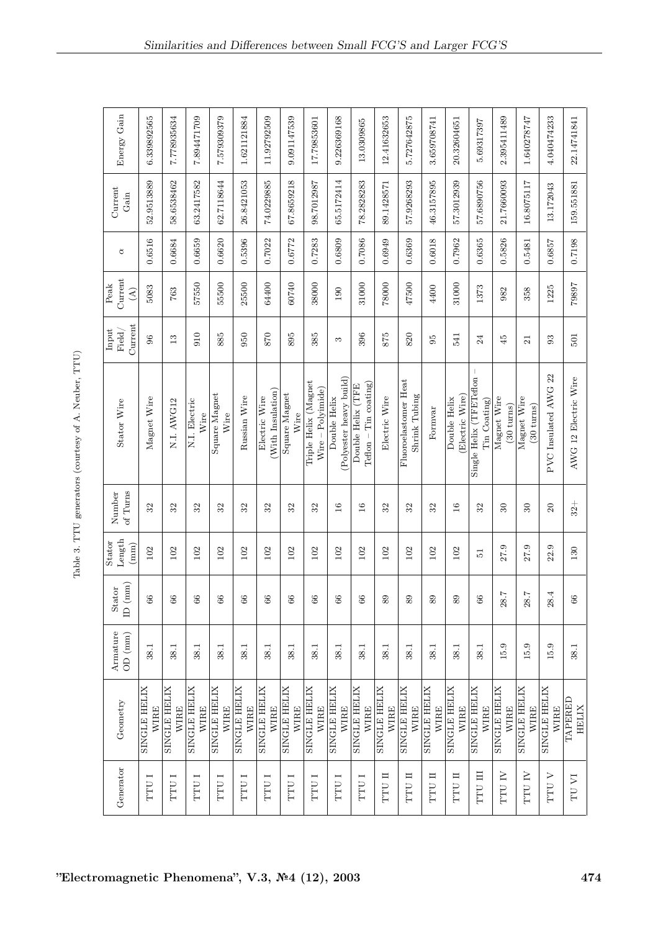| Ì<br>ו<br>ו               |
|---------------------------|
| ;<br>$\sim$ 0.3           |
| $\vdots$<br>$\frac{1}{2}$ |
| $-2$<br>ï<br>l            |
| generators (              |
| $\frac{1}{2}$<br>)<br>1   |
| able 3.<br>ţ<br>ב<br>E    |

| Energy Gain                     | 6.339892565                 | 7.778935634                        | 1.894471709                        | 7.579309379                 | 1.621121884                        | 11.92792509                        | 9.091147539                        | 17.79853601                                 | 9.226369168                            | 13.0309865                                   | 12.41632653                 | 5.727642875                           | 3.659708741                        | 20.32604651                        | 5.69317397                              | 2.395411489                         | 1.640278747                         | 4.040474233                 | 22.14741841             |
|---------------------------------|-----------------------------|------------------------------------|------------------------------------|-----------------------------|------------------------------------|------------------------------------|------------------------------------|---------------------------------------------|----------------------------------------|----------------------------------------------|-----------------------------|---------------------------------------|------------------------------------|------------------------------------|-----------------------------------------|-------------------------------------|-------------------------------------|-----------------------------|-------------------------|
| Gain                            | 52.9513889                  | 58.6538462                         | 63.2417582                         | 62.7118644                  | 26.8421053                         | 74.0229885                         | 67.8659218                         | 98.7012987                                  | 65.5172414                             | 78.2828283                                   | 89.1428571                  | 57.9268293                            | 46.3157895                         | 57.3012939                         | 57.6890756                              | 21.7660093                          | 16.8075117                          | 13.172043                   | 159.551881              |
| ₫                               | 0.6516                      | 0.6684                             | 0.6659                             | 0.6620                      | 0.5396                             | 0.7022                             | 0.6772                             | 0.7283                                      | 0.6809                                 | 0.7086                                       | 0.6949                      | 0.6369                                | 0.6018                             | 0.7962                             | 0.6365                                  | 0.5826                              | 0.5481                              | 0.6857                      | 0.7198                  |
| Current<br>$\widehat{A}$        | 5083                        | 763                                | 57550                              | 55500                       | 25500                              | 64400                              | 60740                              | 38000                                       | 190                                    | 31000                                        | 78000                       | 47500                                 | 4400                               | 31000                              | 1373                                    | 982                                 | 358                                 | 1225                        | 79897                   |
| Current<br>Field/               | 96                          | $\mathbf{r}$                       | 010                                | 885                         | 950                                | 870                                | 895                                | 385                                         | 3                                      | 396                                          | 875                         | 820                                   | $95^{\circ}$                       | 541                                | 24                                      | 45                                  | $\overline{z}$                      | 93                          | 501                     |
| Stator Wire                     | Magnet Wire                 | N.I. AWG12                         | N.I. Electric<br>Wire              | Square Magnet<br>Wire       | Russian Wire                       | With Insulation)<br>Electric Wire  | Square Magnet<br>Wire              | Triple Helix (Magnet<br>$Wire - Polyimide)$ | Polyester heavy build)<br>Double Helix | $Teflon - Tin coating)$<br>Double Helix (TFE | Electric Wire               | Fluoroelastomer Heat<br>Shrink Tubing | Formvar                            | Electric Wire<br>Double Helix      | Single Helix (TFETeflon<br>Tin Coating) | Magnet Wire<br>$(30 \text{ turns})$ | Magnet Wire<br>$(30 \text{ turns})$ | 22<br>PVC Insulated AWG     | AWG 12 Electric Wire    |
| of Turns                        | 32                          | 32                                 | 32                                 | 32                          | 32                                 | 32                                 | 32                                 | 32                                          | $\frac{6}{1}$                          | $\overline{16}$                              | 32                          | 32                                    | 32                                 | 16                                 | 32                                      | $\overline{30}$                     | $\overline{30}$                     | $\overline{c}$              | $32 +$                  |
| Length<br>$\left( \min \right)$ | 102                         | 102                                | 102                                | 102                         | 102                                | 102                                | 102                                | 102                                         | 102                                    | 102                                          | 102                         | 102                                   | 102                                | 102                                | $\overline{5}$                          | 27.9                                | 27.9                                | 22.9                        | 130                     |
| ID (mm)                         | 66                          | 66                                 | E                                  | E                           | $^{66}$                            | E                                  | $^{66}$                            | $\mathscr{E}$                               | E                                      | 3                                            | 88                          | 89                                    | 88                                 | 8s                                 | 66                                      | $\overline{z}$<br>28.               | $\overline{z}$<br>28.               | 4<br>28.                    | 3                       |
| OD (mm)                         | 38.1                        | 38.1                               | 38.1                               | 38.1                        | 38.1                               | 38.1                               | 38.1                               | 38.1                                        | 38.1                                   | 38.1                                         | 38.1                        | 38.1                                  | 38.1                               | 38.1                               | 38.1                                    | 15.9                                | 15.9                                | 15.9                        | 38.1                    |
| Geometry                        | SINGLE HELIX<br><b>WIRE</b> | <b>SINGLE HELIX</b><br><b>WIRE</b> | <b>SINGLE HELIX</b><br><b>WIRE</b> | SINGLE HELIX<br><b>WIRE</b> | <b>SINGLE HELIX</b><br><b>WIRE</b> | <b>SINGLE HELIX</b><br><b>WIRE</b> | <b>SINGLE HELIX</b><br><b>WIRE</b> | <b>SINGLE HELIX</b><br><b>WIRE</b>          | <b>SINGLE HELIX</b><br><b>WIRE</b>     | SINGLE HELIX<br><b>WIRE</b>                  | SINGLE HELIX<br><b>WIRE</b> | <b>SINGLE HELIX</b><br><b>WIRE</b>    | <b>SINGLE HELIX</b><br><b>WIRE</b> | <b>SINGLE HELIX</b><br><b>WIRE</b> | SINGLE HELIX<br><b>WIRE</b>             | <b>SINGLE HELIX</b><br>WIRE         | SINGLE HELIX<br><b>WIRE</b>         | SINGLE HELIX<br><b>WIRE</b> | TAPERED<br><b>HELIX</b> |
| Generator                       | I LLL                       | <b>TTU I</b>                       | <b>TTU I</b>                       | <b>TTU I</b>                | TTU I                              | <b>I</b> LLL                       | <b>TTU I</b>                       | <b>TTU I</b>                                | <b>TTU I</b>                           | <b>TTUI</b>                                  | <b>II</b> DLL               | <b>II LLL</b>                         | <b>II</b> DLL                      | <b>II</b> DLL                      | <b>III</b> DLLI                         | TTU IV                              | <b>N ULL</b>                        | <b>V ULL</b>                | $\Gamma\text{U}$ VI     |